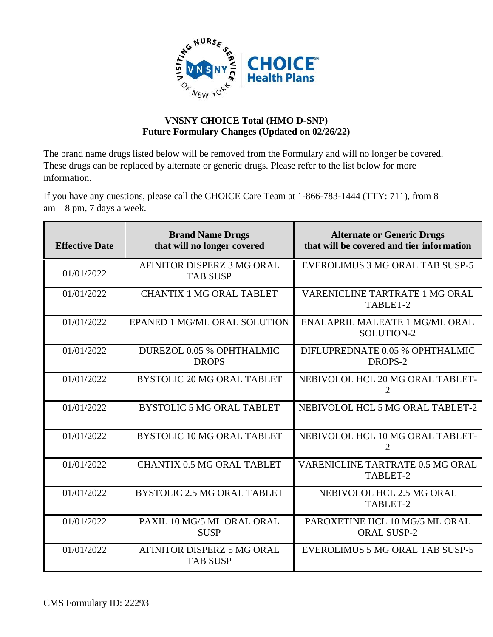

## **VNSNY CHOICE Total (HMO D-SNP) Future Formulary Changes (Updated on 02/26/22)**

The brand name drugs listed below will be removed from the Formulary and will no longer be covered. These drugs can be replaced by alternate or generic drugs. Please refer to the list below for more information.

If you have any questions, please call the CHOICE Care Team at 1-866-783-1444 (TTY: 711), from 8  $am - 8$  pm, 7 days a week.

| <b>Effective Date</b> | <b>Brand Name Drugs</b><br>that will no longer covered | <b>Alternate or Generic Drugs</b><br>that will be covered and tier information |
|-----------------------|--------------------------------------------------------|--------------------------------------------------------------------------------|
| 01/01/2022            | AFINITOR DISPERZ 3 MG ORAL<br><b>TAB SUSP</b>          | EVEROLIMUS 3 MG ORAL TAB SUSP-5                                                |
| 01/01/2022            | <b>CHANTIX 1 MG ORAL TABLET</b>                        | VARENICLINE TARTRATE 1 MG ORAL<br>TABLET-2                                     |
| 01/01/2022            | EPANED 1 MG/ML ORAL SOLUTION                           | <b>ENALAPRIL MALEATE 1 MG/ML ORAL</b><br>SOLUTION-2                            |
| 01/01/2022            | DUREZOL 0.05 % OPHTHALMIC<br><b>DROPS</b>              | DIFLUPREDNATE 0.05 % OPHTHALMIC<br>DROPS-2                                     |
| 01/01/2022            | <b>BYSTOLIC 20 MG ORAL TABLET</b>                      | NEBIVOLOL HCL 20 MG ORAL TABLET-<br>2                                          |
| 01/01/2022            | <b>BYSTOLIC 5 MG ORAL TABLET</b>                       | NEBIVOLOL HCL 5 MG ORAL TABLET-2                                               |
| 01/01/2022            | <b>BYSTOLIC 10 MG ORAL TABLET</b>                      | NEBIVOLOL HCL 10 MG ORAL TABLET-<br>2                                          |
| 01/01/2022            | <b>CHANTIX 0.5 MG ORAL TABLET</b>                      | VARENICLINE TARTRATE 0.5 MG ORAL<br>TABLET-2                                   |
| 01/01/2022            | <b>BYSTOLIC 2.5 MG ORAL TABLET</b>                     | NEBIVOLOL HCL 2.5 MG ORAL<br>TABLET-2                                          |
| 01/01/2022            | PAXIL 10 MG/5 ML ORAL ORAL<br><b>SUSP</b>              | PAROXETINE HCL 10 MG/5 ML ORAL<br><b>ORAL SUSP-2</b>                           |
| 01/01/2022            | AFINITOR DISPERZ 5 MG ORAL<br><b>TAB SUSP</b>          | <b>EVEROLIMUS 5 MG ORAL TAB SUSP-5</b>                                         |